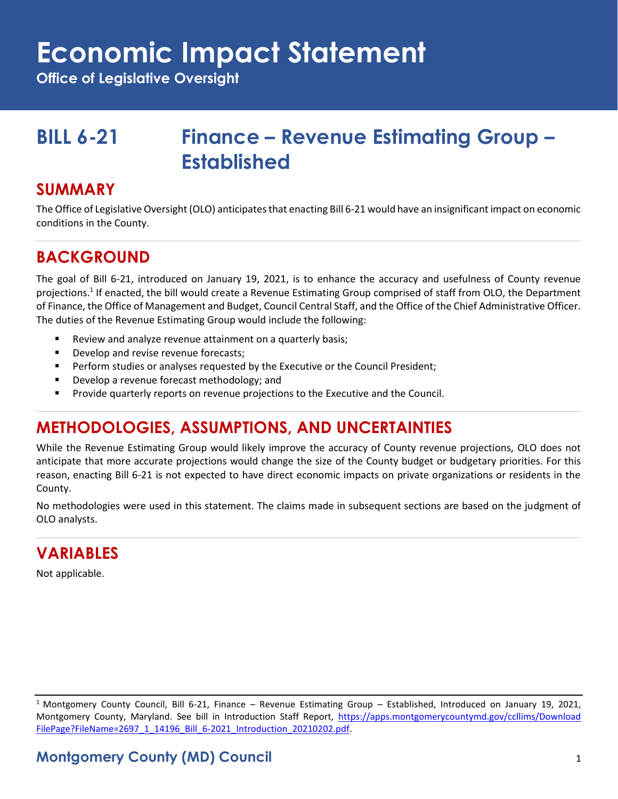## **Economic Impact Statement**

**Office of Legislative Oversight**

## **BILL 6-21 Finance – Revenue Estimating Group – Established**

#### **SUMMARY**

The Office of Legislative Oversight (OLO) anticipates that enacting Bill 6-21 would have an insignificant impact on economic conditions in the County.

### **BACKGROUND**

The goal of Bill 6-21, introduced on January 19, 2021, is to enhance the accuracy and usefulness of County revenue projections.<sup>1</sup> If enacted, the bill would create a Revenue Estimating Group comprised of staff from OLO, the Department of Finance, the Office of Management and Budget, Council Central Staff, and the Office of the Chief Administrative Officer. The duties of the Revenue Estimating Group would include the following:

- Review and analyze revenue attainment on a quarterly basis;
- Develop and revise revenue forecasts;
- **•** Perform studies or analyses requested by the Executive or the Council President;
- Develop a revenue forecast methodology; and
- **•** Provide quarterly reports on revenue projections to the Executive and the Council.

## **METHODOLOGIES, ASSUMPTIONS, AND UNCERTAINTIES**

While the Revenue Estimating Group would likely improve the accuracy of County revenue projections, OLO does not anticipate that more accurate projections would change the size of the County budget or budgetary priorities. For this reason, enacting Bill 6-21 is not expected to have direct economic impacts on private organizations or residents in the County.

No methodologies were used in this statement. The claims made in subsequent sections are based on the judgment of OLO analysts.

## **VARIABLES**

Not applicable.

<sup>&</sup>lt;sup>1</sup> Montgomery County Council, Bill 6-21, Finance – Revenue Estimating Group – Established, Introduced on January 19, 2021, Montgomery County, Maryland. See bill in Introduction Staff Report, [https://apps.montgomerycountymd.gov/ccllims/Download](https://apps.montgomerycountymd.gov/ccllims/DownloadFilePage?FileName=2697_1_14196_Bill_6-2021_Introduction_20210202.pdf) [FilePage?FileName=2697\\_1\\_14196\\_Bill\\_6-2021\\_Introduction\\_20210202.pdf.](https://apps.montgomerycountymd.gov/ccllims/DownloadFilePage?FileName=2697_1_14196_Bill_6-2021_Introduction_20210202.pdf)